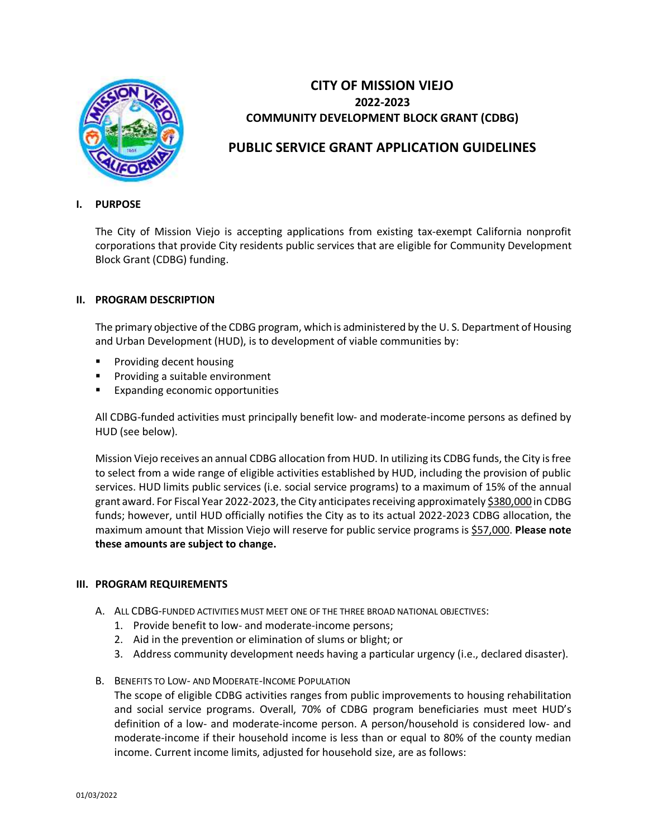

# **CITY OF MISSION VIEJO 2022-2023 COMMUNITY DEVELOPMENT BLOCK GRANT (CDBG)**

# **PUBLIC SERVICE GRANT APPLICATION GUIDELINES**

### **I. PURPOSE**

The City of Mission Viejo is accepting applications from existing tax-exempt California nonprofit corporations that provide City residents public services that are eligible for Community Development Block Grant (CDBG) funding.

#### **II. PROGRAM DESCRIPTION**

The primary objective of the CDBG program, which is administered by the U. S. Department of Housing and Urban Development (HUD), is to development of viable communities by:

- Providing decent housing
- Providing a suitable environment
- Expanding economic opportunities

All CDBG-funded activities must principally benefit low- and moderate-income persons as defined by HUD (see below).

Mission Viejo receives an annual CDBG allocation from HUD. In utilizing its CDBG funds, the City is free to select from a wide range of eligible activities established by HUD, including the provision of public services. HUD limits public services (i.e. social service programs) to a maximum of 15% of the annual grant award. For Fiscal Year 2022-2023, the City anticipates receiving approximately \$380,000 in CDBG funds; however, until HUD officially notifies the City as to its actual 2022-2023 CDBG allocation, the maximum amount that Mission Viejo will reserve for public service programs is \$57,000. **Please note these amounts are subject to change.**

## **III. PROGRAM REQUIREMENTS**

- A. ALL CDBG-FUNDED ACTIVITIES MUST MEET ONE OF THE THREE BROAD NATIONAL OBJECTIVES:
	- 1. Provide benefit to low- and moderate-income persons;
	- 2. Aid in the prevention or elimination of slums or blight; or
	- 3. Address community development needs having a particular urgency (i.e., declared disaster).
- B. BENEFITS TO LOW- AND MODERATE-INCOME POPULATION

The scope of eligible CDBG activities ranges from public improvements to housing rehabilitation and social service programs. Overall, 70% of CDBG program beneficiaries must meet HUD's definition of a low- and moderate-income person. A person/household is considered low- and moderate-income if their household income is less than or equal to 80% of the county median income. Current income limits, adjusted for household size, are as follows: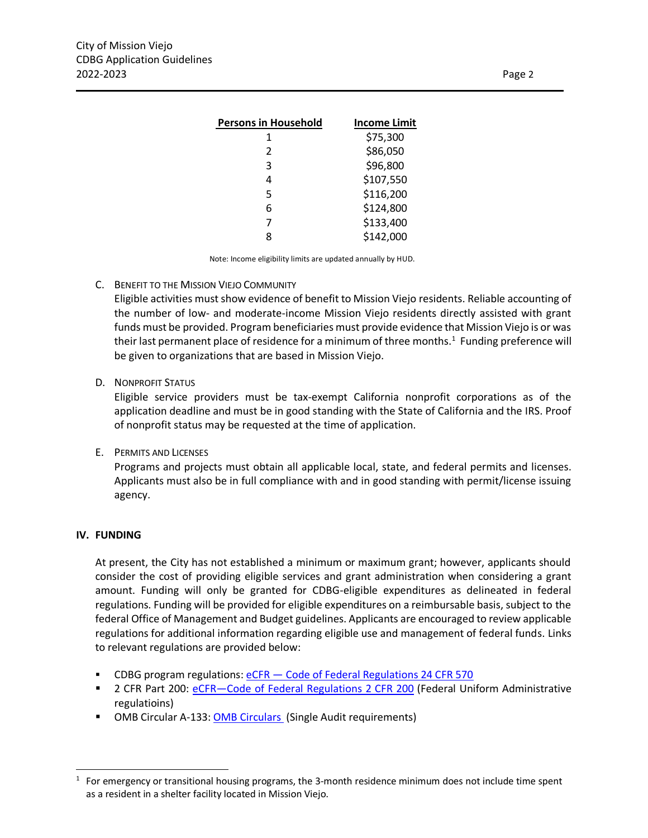| <b>Income Limit</b> |
|---------------------|
| \$75,300            |
| \$86,050            |
| \$96,800            |
| \$107,550           |
| \$116,200           |
| \$124,800           |
| \$133,400           |
| \$142,000           |
|                     |

Note: Income eligibility limits are updated annually by HUD.

#### C. BENEFIT TO THE MISSION VIEJO COMMUNITY

Eligible activities must show evidence of benefit to Mission Viejo residents. Reliable accounting of the number of low- and moderate-income Mission Viejo residents directly assisted with grant funds must be provided. Program beneficiaries must provide evidence that Mission Viejo is or was their last permanent place of residence for a minimum of three months.<sup>1</sup> Funding preference will be given to organizations that are based in Mission Viejo.

#### D. NONPROFIT STATUS

Eligible service providers must be tax-exempt California nonprofit corporations as of the application deadline and must be in good standing with the State of California and the IRS. Proof of nonprofit status may be requested at the time of application.

#### E. PERMITS AND LICENSES

Programs and projects must obtain all applicable local, state, and federal permits and licenses. Applicants must also be in full compliance with and in good standing with permit/license issuing agency.

### **IV. FUNDING**

At present, the City has not established a minimum or maximum grant; however, applicants should consider the cost of providing eligible services and grant administration when considering a grant amount. Funding will only be granted for CDBG-eligible expenditures as delineated in federal regulations. Funding will be provided for eligible expenditures on a reimbursable basis, subject to the federal Office of Management and Budget guidelines. Applicants are encouraged to review applicable regulations for additional information regarding eligible use and management of federal funds. Links to relevant regulations are provided below:

- CDBG program regulations: eCFR [Code of Federal Regulations 24 CFR 570](https://www.ecfr.gov/cgi-bin/text-idx?tpl=/ecfrbrowse/Title24/24cfr570_main_02.tpl)
- 2 CFR Part 200: eCFR–[Code of Federal Regulations 2 CFR 200](https://www.ecfr.gov/cgi-bin/text-idx?SID=0905932eada8a78f6436e005e8105a62&mc=true&node=pt2.1.200&rgn=div5) (Federal Uniform Administrative regulatioins)
- OMB Circular A-133: [OMB Circulars](https://obamawhitehouse.archives.gov/omb/circulars_default/) (Single Audit requirements)

 $1$  For emergency or transitional housing programs, the 3-month residence minimum does not include time spent as a resident in a shelter facility located in Mission Viejo.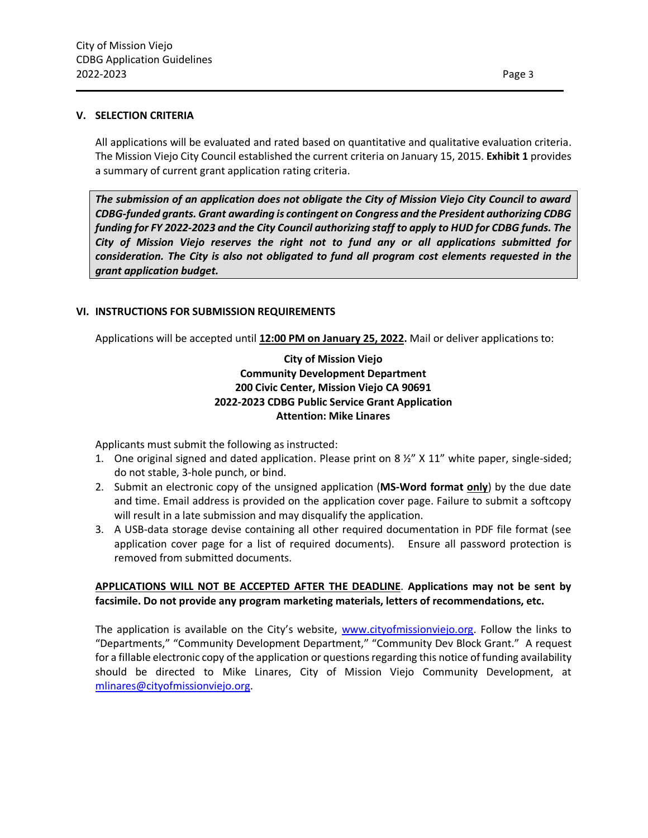#### **V. SELECTION CRITERIA**

All applications will be evaluated and rated based on quantitative and qualitative evaluation criteria. The Mission Viejo City Council established the current criteria on January 15, 2015. **Exhibit 1** provides a summary of current grant application rating criteria.

*The submission of an application does not obligate the City of Mission Viejo City Council to award CDBG-funded grants. Grant awarding is contingent on Congress and the President authorizing CDBG funding for FY 2022-2023 and the City Council authorizing staff to apply to HUD for CDBG funds. The City of Mission Viejo reserves the right not to fund any or all applications submitted for consideration. The City is also not obligated to fund all program cost elements requested in the grant application budget.* 

#### **VI. INSTRUCTIONS FOR SUBMISSION REQUIREMENTS**

Applications will be accepted until **12:00 PM on January 25, 2022.** Mail or deliver applications to:

# **City of Mission Viejo Community Development Department 200 Civic Center, Mission Viejo CA 90691 2022-2023 CDBG Public Service Grant Application Attention: Mike Linares**

Applicants must submit the following as instructed:

- 1. One original signed and dated application. Please print on 8 ½" X 11" white paper, single-sided; do not stable, 3-hole punch, or bind.
- 2. Submit an electronic copy of the unsigned application (**MS-Word format only**) by the due date and time. Email address is provided on the application cover page. Failure to submit a softcopy will result in a late submission and may disqualify the application.
- 3. A USB-data storage devise containing all other required documentation in PDF file format (see application cover page for a list of required documents). Ensure all password protection is removed from submitted documents.

## **APPLICATIONS WILL NOT BE ACCEPTED AFTER THE DEADLINE**. **Applications may not be sent by facsimile. Do not provide any program marketing materials, letters of recommendations, etc.**

The application is available on the City's website, [www.cityofmissionviejo.org.](http://www.cityofmissionviejo.org/) Follow the links to "Departments," "Community Development Department," "Community Dev Block Grant." A request for a fillable electronic copy of the application or questions regarding this notice of funding availability should be directed to Mike Linares, City of Mission Viejo Community Development, at [mlinares@cityofmissionviejo.org.](mailto:mlinares@cityofmissionviejo.org)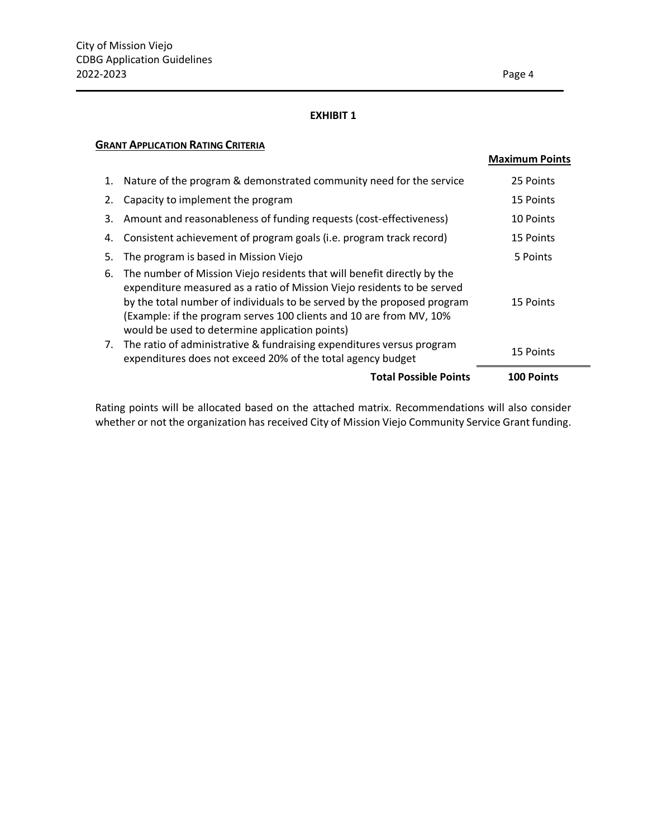#### **EXHIBIT 1**

## **GRANT APPLICATION RATING CRITERIA**

|          |                                                                                                                                                                                                                                                                                                                                                                                                                                 | <b>Maximum Points</b>  |
|----------|---------------------------------------------------------------------------------------------------------------------------------------------------------------------------------------------------------------------------------------------------------------------------------------------------------------------------------------------------------------------------------------------------------------------------------|------------------------|
| 1.       | Nature of the program & demonstrated community need for the service                                                                                                                                                                                                                                                                                                                                                             | 25 Points              |
| 2.       | Capacity to implement the program                                                                                                                                                                                                                                                                                                                                                                                               | 15 Points              |
| 3.       | Amount and reasonableness of funding requests (cost-effectiveness)                                                                                                                                                                                                                                                                                                                                                              | 10 Points              |
| 4.       | Consistent achievement of program goals (i.e. program track record)                                                                                                                                                                                                                                                                                                                                                             | 15 Points              |
| 5.       | The program is based in Mission Viejo                                                                                                                                                                                                                                                                                                                                                                                           | 5 Points               |
| 6.<br>7. | The number of Mission Viejo residents that will benefit directly by the<br>expenditure measured as a ratio of Mission Viejo residents to be served<br>by the total number of individuals to be served by the proposed program<br>(Example: if the program serves 100 clients and 10 are from MV, 10%<br>would be used to determine application points)<br>The ratio of administrative & fundraising expenditures versus program | 15 Points<br>15 Points |
|          | expenditures does not exceed 20% of the total agency budget                                                                                                                                                                                                                                                                                                                                                                     |                        |
|          | <b>Total Possible Points</b>                                                                                                                                                                                                                                                                                                                                                                                                    | <b>100 Points</b>      |

Rating points will be allocated based on the attached matrix. Recommendations will also consider whether or not the organization has received City of Mission Viejo Community Service Grant funding.